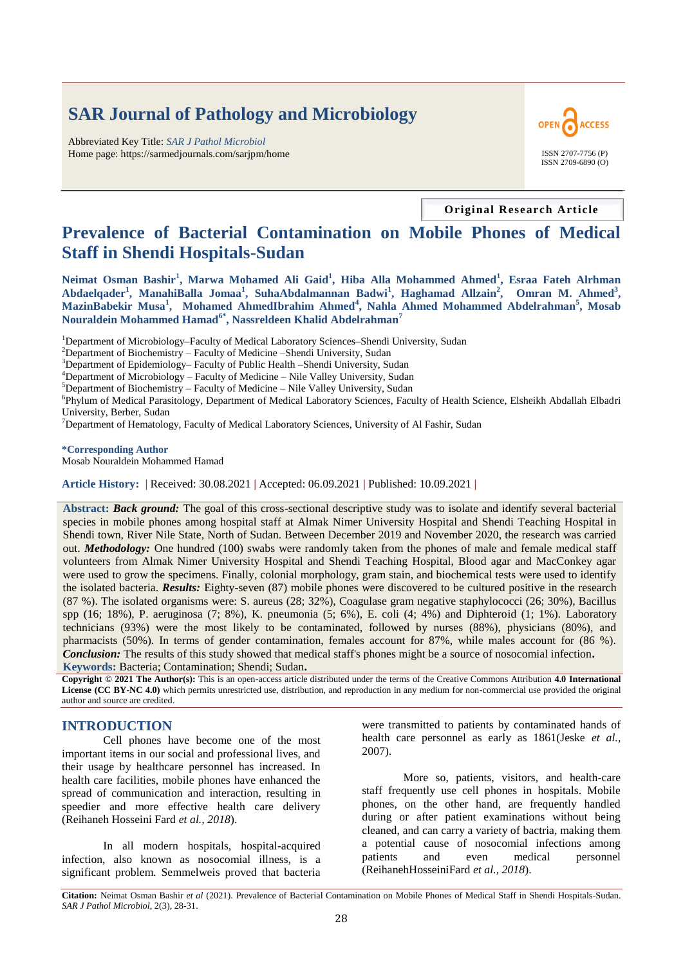# **SAR Journal of Pathology and Microbiology**

Abbreviated Key Title: *SAR J Pathol Microbiol* Home page: https://sarmedjournals.com/sarjpm/home ISSN 2707-7756 (P)



**Original Research Article**

## **Prevalence of Bacterial Contamination on Mobile Phones of Medical Staff in Shendi Hospitals-Sudan**

**Neimat Osman Bashir<sup>1</sup> , Marwa Mohamed Ali Gaid<sup>1</sup> , Hiba Alla Mohammed Ahmed<sup>1</sup> , Esraa Fateh Alrhman Abdaelqader<sup>1</sup> , ManahiBalla Jomaa<sup>1</sup> , SuhaAbdalmannan Badwi<sup>1</sup> , Haghamad Allzain<sup>2</sup> , Omran M. Ahmed<sup>3</sup> , MazinBabekir Musa<sup>1</sup> , Mohamed AhmedIbrahim Ahmed<sup>4</sup> , Nahla Ahmed Mohammed Abdelrahman<sup>5</sup> , Mosab Nouraldein Mohammed Hamad6\*, Nassreldeen Khalid Abdelrahman<sup>7</sup>**

<sup>1</sup>Department of Microbiology–Faculty of Medical Laboratory Sciences–Shendi University, Sudan

 $2D$ epartment of Biochemistry – Faculty of Medicine –Shendi University, Sudan

<sup>3</sup>Department of Epidemiology– Faculty of Public Health –Shendi University, Sudan

<sup>4</sup>Department of Microbiology – Faculty of Medicine – Nile Valley University, Sudan

 $5$ Department of Biochemistry – Faculty of Medicine – Nile Valley University, Sudan

6 Phylum of Medical Parasitology, Department of Medical Laboratory Sciences, Faculty of Health Science, Elsheikh Abdallah Elbadri University, Berber, Sudan

 $<sup>7</sup>$ Department of Hematology, Faculty of Medical Laboratory Sciences, University of Al Fashir, Sudan</sup>

**\*Corresponding Author** Mosab Nouraldein Mohammed Hamad

**Article History: |** Received: 30.08.2021 **|** Accepted: 06.09.2021 **|** Published: 10.09.2021 **|**

**Abstract:** *Back ground:* The goal of this cross-sectional descriptive study was to isolate and identify several bacterial species in mobile phones among hospital staff at Almak Nimer University Hospital and Shendi Teaching Hospital in Shendi town, River Nile State, North of Sudan. Between December 2019 and November 2020, the research was carried out. *Methodology:* One hundred (100) swabs were randomly taken from the phones of male and female medical staff volunteers from Almak Nimer University Hospital and Shendi Teaching Hospital, Blood agar and MacConkey agar were used to grow the specimens. Finally, colonial morphology, gram stain, and biochemical tests were used to identify the isolated bacteria. *Results:* Eighty-seven (87) mobile phones were discovered to be cultured positive in the research (87 %). The isolated organisms were: S. aureus (28; 32%), Coagulase gram negative staphylococci (26; 30%), Bacillus spp (16; 18%), P. aeruginosa (7; 8%), K. pneumonia (5; 6%), E. coli (4; 4%) and Diphteroid (1; 1%). Laboratory technicians (93%) were the most likely to be contaminated, followed by nurses (88%), physicians (80%), and pharmacists (50%). In terms of gender contamination, females account for 87%, while males account for (86 %). *Conclusion:* The results of this study showed that medical staff's phones might be a source of nosocomial infection**. Keywords:** Bacteria; Contamination; Shendi; Sudan**.**

**Copyright © 2021 The Author(s):** This is an open-access article distributed under the terms of the Creative Commons Attribution **4.0 International License (CC BY-NC 4.0)** which permits unrestricted use, distribution, and reproduction in any medium for non-commercial use provided the original author and source are credited.

#### **INTRODUCTION**

Cell phones have become one of the most important items in our social and professional lives, and their usage by healthcare personnel has increased. In health care facilities, mobile phones have enhanced the spread of communication and interaction, resulting in speedier and more effective health care delivery (Reihaneh Hosseini Fard *et al., 2018*).

In all modern hospitals, hospital-acquired infection, also known as nosocomial illness, is a significant problem. Semmelweis proved that bacteria

were transmitted to patients by contaminated hands of health care personnel as early as 1861(Jeske *et al.,* 2007).

More so, patients, visitors, and health-care staff frequently use cell phones in hospitals. Mobile phones, on the other hand, are frequently handled during or after patient examinations without being cleaned, and can carry a variety of bactria, making them a potential cause of nosocomial infections among patients and even medical personnel (ReihanehHosseiniFard *et al., 2018*).

**Citation:** Neimat Osman Bashir *et al* (2021). Prevalence of Bacterial Contamination on Mobile Phones of Medical Staff in Shendi Hospitals-Sudan. *SAR J Pathol Microbiol*, 2(3), 28-31.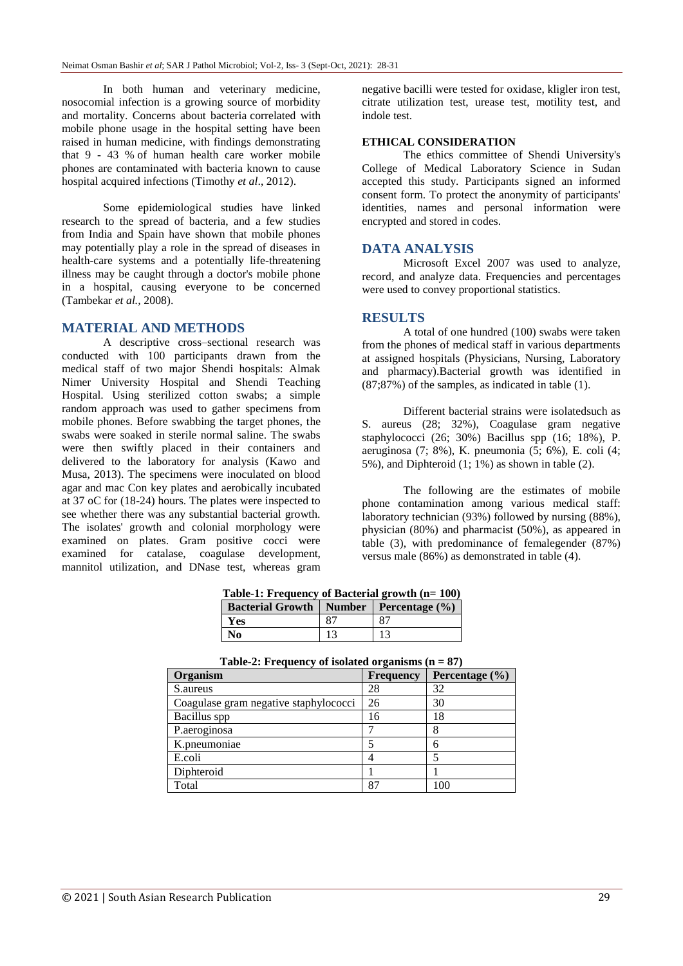In both human and veterinary medicine, nosocomial infection is a growing source of morbidity and mortality. Concerns about bacteria correlated with mobile phone usage in the hospital setting have been raised in human medicine, with findings demonstrating that 9 - 43 % of human health care worker mobile phones are contaminated with bacteria known to cause hospital acquired infections (Timothy *et al*., 2012).

Some epidemiological studies have linked research to the spread of bacteria, and a few studies from India and Spain have shown that mobile phones may potentially play a role in the spread of diseases in health-care systems and a potentially life-threatening illness may be caught through a doctor's mobile phone in a hospital, causing everyone to be concerned (Tambekar *et al.,* 2008).

## **MATERIAL AND METHODS**

A descriptive cross–sectional research was conducted with 100 participants drawn from the medical staff of two major Shendi hospitals: Almak Nimer University Hospital and Shendi Teaching Hospital. Using sterilized cotton swabs; a simple random approach was used to gather specimens from mobile phones. Before swabbing the target phones, the swabs were soaked in sterile normal saline. The swabs were then swiftly placed in their containers and delivered to the laboratory for analysis (Kawo and Musa, 2013). The specimens were inoculated on blood agar and mac Con key plates and aerobically incubated at 37 oC for (18-24) hours. The plates were inspected to see whether there was any substantial bacterial growth. The isolates' growth and colonial morphology were examined on plates. Gram positive cocci were examined for catalase, coagulase development, mannitol utilization, and DNase test, whereas gram

negative bacilli were tested for oxidase, kligler iron test, citrate utilization test, urease test, motility test, and indole test.

#### **ETHICAL CONSIDERATION**

The ethics committee of Shendi University's College of Medical Laboratory Science in Sudan accepted this study. Participants signed an informed consent form. To protect the anonymity of participants' identities, names and personal information were encrypted and stored in codes.

#### **DATA ANALYSIS**

Microsoft Excel 2007 was used to analyze, record, and analyze data. Frequencies and percentages were used to convey proportional statistics.

#### **RESULTS**

A total of one hundred (100) swabs were taken from the phones of medical staff in various departments at assigned hospitals (Physicians, Nursing, Laboratory and pharmacy).Bacterial growth was identified in (87;87%) of the samples, as indicated in table (1).

Different bacterial strains were isolatedsuch as S. aureus (28; 32%), Coagulase gram negative staphylococci (26; 30%) Bacillus spp (16; 18%), P. aeruginosa (7; 8%), K. pneumonia (5; 6%), E. coli (4; 5%), and Diphteroid (1; 1%) as shown in table (2).

The following are the estimates of mobile phone contamination among various medical staff: laboratory technician (93%) followed by nursing (88%), physician (80%) and pharmacist (50%), as appeared in table (3), with predominance of femalegender (87%) versus male (86%) as demonstrated in table (4).

| Table-1: Frequency of Bacterial growth (n= 100) |    |    |  |
|-------------------------------------------------|----|----|--|
| Bacterial Growth   Number   Percentage (%)      |    |    |  |
| Yes                                             | 87 | 87 |  |
| N0                                              | 13 | 13 |  |

| Organism                              | <b>Frequency</b> | Percentage $(\% )$ |
|---------------------------------------|------------------|--------------------|
| S. aureus                             | 28               | 32                 |
| Coagulase gram negative staphylococci | 26               | 30                 |
| Bacillus spp                          | 16               | 18                 |
| P.aeroginosa                          |                  |                    |
| K.pneumoniae                          |                  |                    |
| E.coli                                |                  |                    |
| Diphteroid                            |                  |                    |
| Total                                 | 87               | 100                |

| Table-2: Frequency of isolated organisms $(n = 87)$ |
|-----------------------------------------------------|
|-----------------------------------------------------|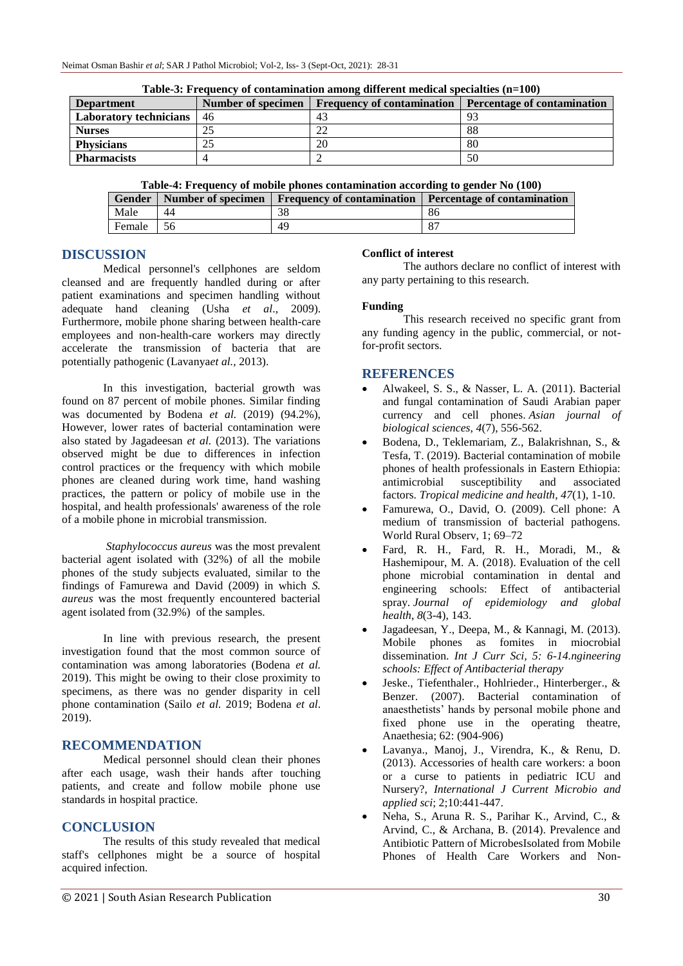| <b>Department</b>             | Number of specimen | <b>Frequency of contamination</b> | <b>Percentage of contamination</b> |
|-------------------------------|--------------------|-----------------------------------|------------------------------------|
| <b>Laboratory technicians</b> | 46                 | 4 <sub>2</sub>                    |                                    |
| <b>Nurses</b>                 |                    | ∠∠                                | 88                                 |
| <b>Physicians</b>             |                    | 20                                | 80                                 |
| <b>Pharmacists</b>            |                    |                                   | 50                                 |

**Table-3: Frequency of contamination among different medical specialties (n=100)**

**Table-4: Frequency of mobile phones contamination according to gender No (100)**

|        |    | Gender   Number of specimen   Frequency of contamination   Percentage of contamination |    |
|--------|----|----------------------------------------------------------------------------------------|----|
| Male   | 44 |                                                                                        | 86 |
| Female |    | 4 <sup>c</sup>                                                                         |    |

## **DISCUSSION**

Medical personnel's cellphones are seldom cleansed and are frequently handled during or after patient examinations and specimen handling without adequate hand cleaning (Usha *et al*., 2009). Furthermore, mobile phone sharing between health-care employees and non-health-care workers may directly accelerate the transmission of bacteria that are potentially pathogenic (Lavanya*et al.,* 2013).

In this investigation, bacterial growth was found on 87 percent of mobile phones. Similar finding was documented by Bodena *et al.* (2019) (94.2%), However, lower rates of bacterial contamination were also stated by Jagadeesan *et al.* (2013). The variations observed might be due to differences in infection control practices or the frequency with which mobile phones are cleaned during work time, hand washing practices, the pattern or policy of mobile use in the hospital, and health professionals' awareness of the role of a mobile phone in microbial transmission.

*Staphylococcus aureus* was the most prevalent bacterial agent isolated with (32%) of all the mobile phones of the study subjects evaluated, similar to the findings of Famurewa and David (2009) in which *S. aureus* was the most frequently encountered bacterial agent isolated from (32.9%) of the samples.

In line with previous research, the present investigation found that the most common source of contamination was among laboratories (Bodena *et al.* 2019). This might be owing to their close proximity to specimens, as there was no gender disparity in cell phone contamination (Sailo *et al.* 2019; Bodena *et al*. 2019).

## **RECOMMENDATION**

Medical personnel should clean their phones after each usage, wash their hands after touching patients, and create and follow mobile phone use standards in hospital practice.

## **CONCLUSION**

The results of this study revealed that medical staff's cellphones might be a source of hospital acquired infection.

## **Conflict of interest**

The authors declare no conflict of interest with any party pertaining to this research.

## **Funding**

This research received no specific grant from any funding agency in the public, commercial, or notfor-profit sectors.

## **REFERENCES**

- Alwakeel, S. S., & Nasser, L. A. (2011). Bacterial and fungal contamination of Saudi Arabian paper currency and cell phones. *Asian journal of biological sciences*, *4*(7), 556-562.
- Bodena, D., Teklemariam, Z., Balakrishnan, S., & Tesfa, T. (2019). Bacterial contamination of mobile phones of health professionals in Eastern Ethiopia: antimicrobial susceptibility and associated factors. *Tropical medicine and health*, *47*(1), 1-10.
- Famurewa, O., David, O. (2009). Cell phone: A medium of transmission of bacterial pathogens. World Rural Observ, 1; 69–72
- Fard, R. H., Fard, R. H., Moradi, M., & Hashemipour, M. A. (2018). Evaluation of the cell phone microbial contamination in dental and engineering schools: Effect of antibacterial spray. *Journal of epidemiology and global health*, *8*(3-4), 143.
- Jagadeesan, Y., Deepa, M., & Kannagi, M. (2013). Mobile phones as fomites in miocrobial dissemination. *Int J Curr Sci, 5: 6-14.ngineering schools: Effect of Antibacterial therapy*
- Jeske., Tiefenthaler., Hohlrieder., Hinterberger., & Benzer. (2007). Bacterial contamination of anaesthetists' hands by personal mobile phone and fixed phone use in the operating theatre, Anaethesia; 62: (904-906)
- Lavanya., Manoj, J., Virendra, K., & Renu, D. (2013). Accessories of health care workers: a boon or a curse to patients in pediatric ICU and Nursery?, *International J Current Microbio and applied sci*; 2;10:441-447.
- Neha, S., Aruna R. S., Parihar K., Arvind, C., & Arvind, C., & Archana, B. (2014). Prevalence and Antibiotic Pattern of MicrobesIsolated from Mobile Phones of Health Care Workers and Non-